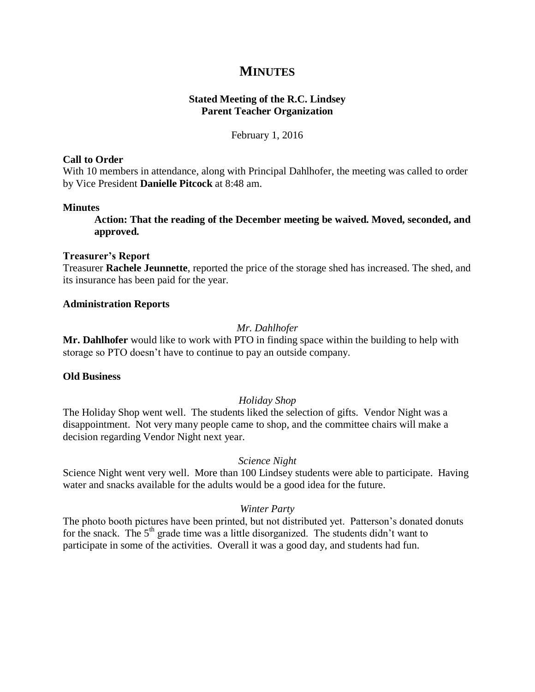# **MINUTES**

# **Stated Meeting of the R.C. Lindsey Parent Teacher Organization**

February 1, 2016

#### **Call to Order**

With 10 members in attendance, along with Principal Dahlhofer, the meeting was called to order by Vice President **Danielle Pitcock** at 8:48 am.

#### **Minutes**

**Action: That the reading of the December meeting be waived. Moved, seconded, and approved.**

#### **Treasurer's Report**

Treasurer **Rachele Jeunnette**, reported the price of the storage shed has increased. The shed, and its insurance has been paid for the year.

# **Administration Reports**

# *Mr. Dahlhofer*

**Mr. Dahlhofer** would like to work with PTO in finding space within the building to help with storage so PTO doesn't have to continue to pay an outside company.

# **Old Business**

# *Holiday Shop*

The Holiday Shop went well. The students liked the selection of gifts. Vendor Night was a disappointment. Not very many people came to shop, and the committee chairs will make a decision regarding Vendor Night next year.

# *Science Night*

Science Night went very well. More than 100 Lindsey students were able to participate. Having water and snacks available for the adults would be a good idea for the future.

# *Winter Party*

The photo booth pictures have been printed, but not distributed yet. Patterson's donated donuts for the snack. The  $5<sup>th</sup>$  grade time was a little disorganized. The students didn't want to participate in some of the activities. Overall it was a good day, and students had fun.